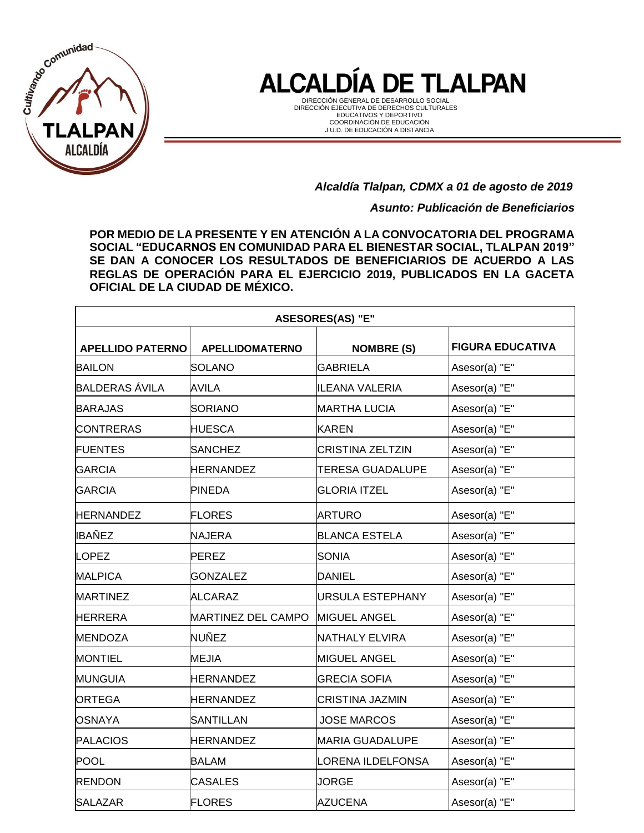

DIRECCIÓN GENERAL DE DESARROLLO SOCIAL DIRECCIÓN EJECUTIVA DE DERECHOS CULTURALES EDUCATIVOS Y DEPORTIVO COORDINACIÓN DE EDUCACIÓN J.U.D. DE EDUCACIÓN A DISTANCIA

#### *Alcaldía Tlalpan, CDMX a 01 de agosto de 2019*

*Asunto: Publicación de Beneficiarios*

**POR MEDIO DE LA PRESENTE Y EN ATENCIÓN A LA CONVOCATORIA DEL PROGRAMA SOCIAL "EDUCARNOS EN COMUNIDAD PARA EL BIENESTAR SOCIAL, TLALPAN 2019" SE DAN A CONOCER LOS RESULTADOS DE BENEFICIARIOS DE ACUERDO A LAS REGLAS DE OPERACIÓN PARA EL EJERCICIO 2019, PUBLICADOS EN LA GACETA OFICIAL DE LA CIUDAD DE MÉXICO.**

| <b>ASESORES(AS) "E"</b>                                                                           |                    |                         |               |  |  |  |  |
|---------------------------------------------------------------------------------------------------|--------------------|-------------------------|---------------|--|--|--|--|
| <b>FIGURA EDUCATIVA</b><br><b>APELLIDO PATERNO</b><br><b>APELLIDOMATERNO</b><br><b>NOMBRE (S)</b> |                    |                         |               |  |  |  |  |
| <b>BAILON</b>                                                                                     | <b>SOLANO</b>      | <b>GABRIELA</b>         | Asesor(a) "E" |  |  |  |  |
| <b>BALDERAS ÁVILA</b>                                                                             | <b>AVILA</b>       | ILEANA VALERIA          | Asesor(a) "E" |  |  |  |  |
| <b>BARAJAS</b>                                                                                    | <b>SORIANO</b>     | <b>MARTHA LUCIA</b>     | Asesor(a) "E" |  |  |  |  |
| <b>CONTRERAS</b>                                                                                  | <b>HUESCA</b>      | <b>KAREN</b>            | Asesor(a) "E" |  |  |  |  |
| <b>FUENTES</b>                                                                                    | <b>SANCHEZ</b>     | ICRISTINA ZELTZIN       | Asesor(a) "E" |  |  |  |  |
| <b>GARCIA</b>                                                                                     | <b>HERNANDEZ</b>   | <b>TERESA GUADALUPE</b> | Asesor(a) "E" |  |  |  |  |
| <b>GARCIA</b>                                                                                     | <b>PINEDA</b>      | <b>GLORIA ITZEL</b>     | Asesor(a) "E" |  |  |  |  |
| <b>HERNANDEZ</b>                                                                                  | <b>FLORES</b>      | <b>ARTURO</b>           | Asesor(a) "E" |  |  |  |  |
| <b>IBAÑEZ</b>                                                                                     | <b>NAJERA</b>      | <b>BLANCA ESTELA</b>    | Asesor(a) "E" |  |  |  |  |
| <b>LOPEZ</b>                                                                                      | PEREZ              | <b>SONIA</b>            | Asesor(a) "E" |  |  |  |  |
| <b>MALPICA</b>                                                                                    | <b>GONZALEZ</b>    | DANIEL                  | Asesor(a) "E" |  |  |  |  |
| <b>IMARTINEZ</b>                                                                                  | <b>ALCARAZ</b>     | URSULA ESTEPHANY        | Asesor(a) "E" |  |  |  |  |
| <b>HERRERA</b>                                                                                    | MARTINEZ DEL CAMPO | <b>MIGUEL ANGEL</b>     | Asesor(a) "E" |  |  |  |  |
| <b>MENDOZA</b>                                                                                    | <b>NUÑEZ</b>       | NATHALY ELVIRA          | Asesor(a) "E" |  |  |  |  |
| <b>MONTIEL</b>                                                                                    | <b>MEJIA</b>       | <b>MIGUEL ANGEL</b>     | Asesor(a) "E" |  |  |  |  |
| <b>MUNGUIA</b>                                                                                    | <b>HERNANDEZ</b>   | <b>GRECIA SOFIA</b>     | Asesor(a) "E" |  |  |  |  |
| <b>ORTEGA</b>                                                                                     | <b>HERNANDEZ</b>   | CRISTINA JAZMIN         | Asesor(a) "E" |  |  |  |  |
| <b>OSNAYA</b>                                                                                     | <b>SANTILLAN</b>   | <b>JOSE MARCOS</b>      | Asesor(a) "E" |  |  |  |  |
| <b>PALACIOS</b>                                                                                   | <b>HERNANDEZ</b>   | <b>MARIA GUADALUPE</b>  | Asesor(a) "E" |  |  |  |  |
| <b>POOL</b>                                                                                       | <b>BALAM</b>       | LORENA ILDELFONSA       | Asesor(a) "E" |  |  |  |  |
| <b>RENDON</b>                                                                                     | <b>CASALES</b>     | <b>JORGE</b>            | Asesor(a) "E" |  |  |  |  |
| <b>SALAZAR</b>                                                                                    | <b>FLORES</b>      | <b>AZUCENA</b>          | Asesor(a) "E" |  |  |  |  |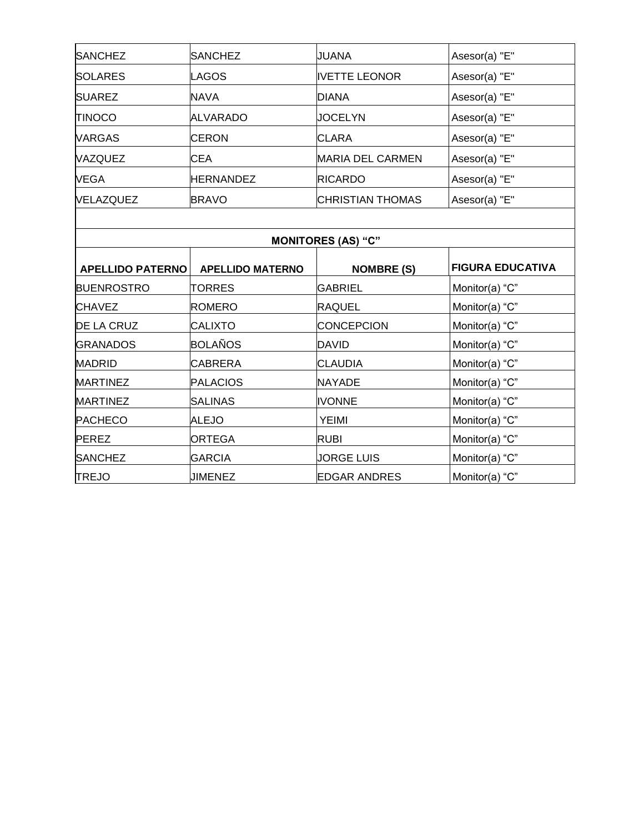| <b>SANCHEZ</b>          | <b>SANCHEZ</b>          | JUANA                     | Asesor(a) "E"           |
|-------------------------|-------------------------|---------------------------|-------------------------|
| <b>SOLARES</b>          | LAGOS                   | <b>IVETTE LEONOR</b>      | Asesor(a) "E"           |
| <b>SUAREZ</b>           | <b>NAVA</b>             | <b>DIANA</b>              | Asesor(a) "E"           |
| <b>TINOCO</b>           | <b>ALVARADO</b>         | <b>JOCELYN</b>            | Asesor(a) "E"           |
| <b>VARGAS</b>           | <b>CERON</b>            | <b>CLARA</b>              | Asesor(a) "E"           |
| VAZQUEZ                 | <b>CEA</b>              | <b>MARIA DEL CARMEN</b>   | Asesor(a) "E"           |
| <b>VEGA</b>             | <b>HERNANDEZ</b>        | <b>RICARDO</b>            | Asesor(a) "E"           |
| VELAZQUEZ               | <b>BRAVO</b>            | <b>CHRISTIAN THOMAS</b>   | Asesor(a) "E"           |
|                         |                         |                           |                         |
|                         |                         | <b>MONITORES (AS) "C"</b> |                         |
| <b>APELLIDO PATERNO</b> | <b>APELLIDO MATERNO</b> | <b>NOMBRE (S)</b>         | <b>FIGURA EDUCATIVA</b> |
| <b>BUENROSTRO</b>       | <b>TORRES</b>           | <b>GABRIEL</b>            | Monitor(a) "C"          |
| <b>CHAVEZ</b>           | ROMERO                  | <b>RAQUEL</b>             | Monitor(a) "C"          |
| <b>DE LA CRUZ</b>       | <b>CALIXTO</b>          | <b>CONCEPCION</b>         | Monitor(a) "C"          |
| <b>GRANADOS</b>         | BOLAÑOS                 | <b>DAVID</b>              | Monitor(a) "C"          |
| <b>MADRID</b>           | <b>CABRERA</b>          | <b>CLAUDIA</b>            | Monitor(a) "C"          |
| <b>MARTINEZ</b>         | <b>PALACIOS</b>         | <b>NAYADE</b>             | Monitor(a) "C"          |
| <b>MARTINEZ</b>         | <b>SALINAS</b>          | <b>IVONNE</b>             | Monitor(a) "C"          |
| <b>PACHECO</b>          | <b>ALEJO</b>            | <b>YEIMI</b>              | Monitor(a) "C"          |
| <b>PEREZ</b>            | <b>ORTEGA</b>           | <b>RUBI</b>               | Monitor(a) "C"          |
| <b>SANCHEZ</b>          | <b>GARCIA</b>           | <b>JORGE LUIS</b>         | Monitor(a) "C"          |
| <b>TREJO</b>            | <b>JIMENEZ</b>          | <b>EDGAR ANDRES</b>       | Monitor(a) "C"          |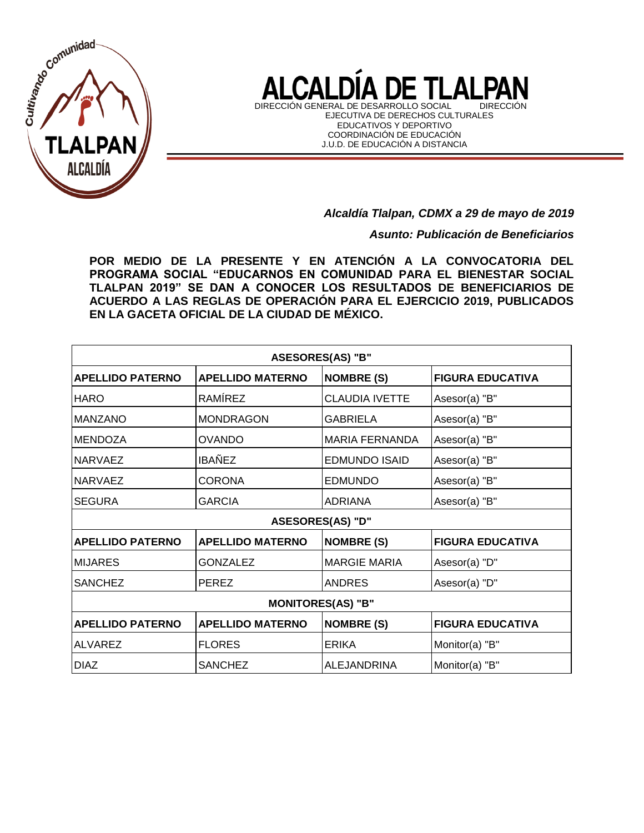

 $\mathbf{\Delta}$ l CΔ DIRECCIÓN GENERAL DE DESARROLLO SOCIAL DIRECCIÓN

EJECUTIVA DE DERECHOS CULTURALES EDUCATIVOS Y DEPORTIVO COORDINACIÓN DE EDUCACIÓN J.U.D. DE EDUCACIÓN A DISTANCIA

*Alcaldía Tlalpan, CDMX a 29 de mayo de 2019*

*Asunto: Publicación de Beneficiarios*

**POR MEDIO DE LA PRESENTE Y EN ATENCIÓN A LA CONVOCATORIA DEL PROGRAMA SOCIAL "EDUCARNOS EN COMUNIDAD PARA EL BIENESTAR SOCIAL TLALPAN 2019" SE DAN A CONOCER LOS RESULTADOS DE BENEFICIARIOS DE ACUERDO A LAS REGLAS DE OPERACIÓN PARA EL EJERCICIO 2019, PUBLICADOS EN LA GACETA OFICIAL DE LA CIUDAD DE MÉXICO.**

| ASESORES(AS) "B"         |                         |                         |                         |  |
|--------------------------|-------------------------|-------------------------|-------------------------|--|
| <b>APELLIDO PATERNO</b>  | <b>APELLIDO MATERNO</b> | <b>NOMBRE (S)</b>       | <b>FIGURA EDUCATIVA</b> |  |
| <b>HARO</b>              | RAMÍREZ                 | <b>CLAUDIA IVETTE</b>   | Asesor(a) "B"           |  |
| <b>MANZANO</b>           | <b>MONDRAGON</b>        | <b>GABRIELA</b>         | Asesor(a) "B"           |  |
| <b>MENDOZA</b>           | <b>OVANDO</b>           | <b>MARIA FERNANDA</b>   | Asesor(a) "B"           |  |
| <b>NARVAEZ</b>           | <b>IBAÑEZ</b>           | <b>EDMUNDO ISAID</b>    | Asesor(a) "B"           |  |
| <b>NARVAEZ</b>           | <b>CORONA</b>           | <b>EDMUNDO</b>          | Asesor(a) "B"           |  |
| <b>SEGURA</b>            | <b>GARCIA</b>           | <b>ADRIANA</b>          | Asesor(a) "B"           |  |
|                          |                         | <b>ASESORES(AS) "D"</b> |                         |  |
| <b>APELLIDO PATERNO</b>  | <b>APELLIDO MATERNO</b> | <b>NOMBRE (S)</b>       | <b>FIGURA EDUCATIVA</b> |  |
| <b>MIJARES</b>           | <b>GONZALEZ</b>         | <b>MARGIE MARIA</b>     | Asesor(a) "D"           |  |
| <b>SANCHEZ</b>           | <b>PEREZ</b>            | <b>ANDRES</b>           | Asesor(a) "D"           |  |
| <b>MONITORES(AS) "B"</b> |                         |                         |                         |  |
| <b>APELLIDO PATERNO</b>  | <b>APELLIDO MATERNO</b> | <b>NOMBRE (S)</b>       | <b>FIGURA EDUCATIVA</b> |  |
| <b>ALVAREZ</b>           | <b>FLORES</b>           | <b>ERIKA</b>            | Monitor(a) "B"          |  |
| <b>DIAZ</b>              | <b>SANCHEZ</b>          | ALEJANDRINA             | Monitor(a) "B"          |  |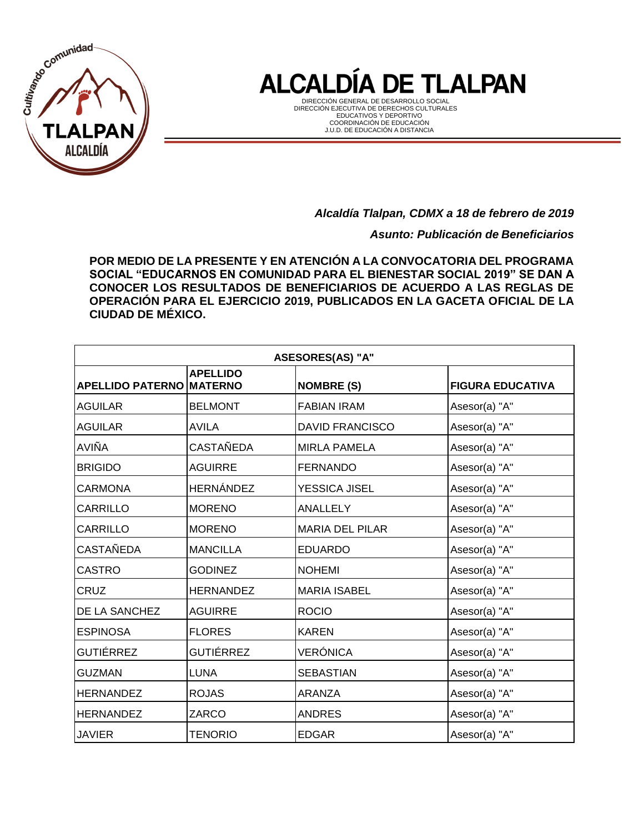

DIRECCIÓN GENERAL DE DESARROLLO SOCIAL DIRECCIÓN EJECUTIVA DE DERECHOS CULTURALES EDUCATIVOS Y DEPORTIVO COORDINACIÓN DE EDUCACIÓN J.U.D. DE EDUCACIÓN A DISTANCIA

*Alcaldía Tlalpan, CDMX a 18 de febrero de 2019*

*Asunto: Publicación de Beneficiarios*

**POR MEDIO DE LA PRESENTE Y EN ATENCIÓN A LA CONVOCATORIA DEL PROGRAMA SOCIAL "EDUCARNOS EN COMUNIDAD PARA EL BIENESTAR SOCIAL 2019" SE DAN A CONOCER LOS RESULTADOS DE BENEFICIARIOS DE ACUERDO A LAS REGLAS DE OPERACIÓN PARA EL EJERCICIO 2019, PUBLICADOS EN LA GACETA OFICIAL DE LA CIUDAD DE MÉXICO.**

| ASESORES(AS) "A"                |                  |                        |                         |  |
|---------------------------------|------------------|------------------------|-------------------------|--|
| <b>APELLIDO PATERNO MATERNO</b> | <b>APELLIDO</b>  | <b>NOMBRE (S)</b>      | <b>FIGURA EDUCATIVA</b> |  |
| <b>AGUILAR</b>                  | <b>BELMONT</b>   | <b>FABIAN IRAM</b>     | Asesor(a) "A"           |  |
| <b>AGUILAR</b>                  | AVILA            | <b>DAVID FRANCISCO</b> | Asesor(a) "A"           |  |
| AVIÑA                           | CASTAÑEDA        | <b>MIRLA PAMELA</b>    | Asesor(a) "A"           |  |
| <b>BRIGIDO</b>                  | <b>AGUIRRE</b>   | <b>FERNANDO</b>        | Asesor(a) "A"           |  |
| <b>CARMONA</b>                  | <b>HERNÁNDEZ</b> | YESSICA JISEL          | Asesor(a) "A"           |  |
| <b>CARRILLO</b>                 | <b>MORENO</b>    | ANALLELY               | Asesor(a) "A"           |  |
| <b>CARRILLO</b>                 | <b>MORENO</b>    | <b>MARIA DEL PILAR</b> | Asesor(a) "A"           |  |
| <b>CASTAÑEDA</b>                | <b>MANCILLA</b>  | <b>EDUARDO</b>         | Asesor(a) "A"           |  |
| <b>CASTRO</b>                   | <b>GODINEZ</b>   | <b>NOHEMI</b>          | Asesor(a) "A"           |  |
| <b>CRUZ</b>                     | <b>HERNANDEZ</b> | <b>MARIA ISABEL</b>    | Asesor(a) "A"           |  |
| DE LA SANCHEZ                   | <b>AGUIRRE</b>   | <b>ROCIO</b>           | Asesor(a) "A"           |  |
| <b>ESPINOSA</b>                 | <b>FLORES</b>    | <b>KAREN</b>           | Asesor(a) "A"           |  |
| <b>GUTIÉRREZ</b>                | <b>GUTIÉRREZ</b> | VERÓNICA               | Asesor(a) "A"           |  |
| <b>GUZMAN</b>                   | <b>LUNA</b>      | <b>SEBASTIAN</b>       | Asesor(a) "A"           |  |
| <b>HERNANDEZ</b>                | <b>ROJAS</b>     | <b>ARANZA</b>          | Asesor(a) "A"           |  |
| <b>HERNANDEZ</b>                | ZARCO            | <b>ANDRES</b>          | Asesor(a) "A"           |  |
| <b>JAVIER</b>                   | TENORIO          | <b>EDGAR</b>           | Asesor(a) "A"           |  |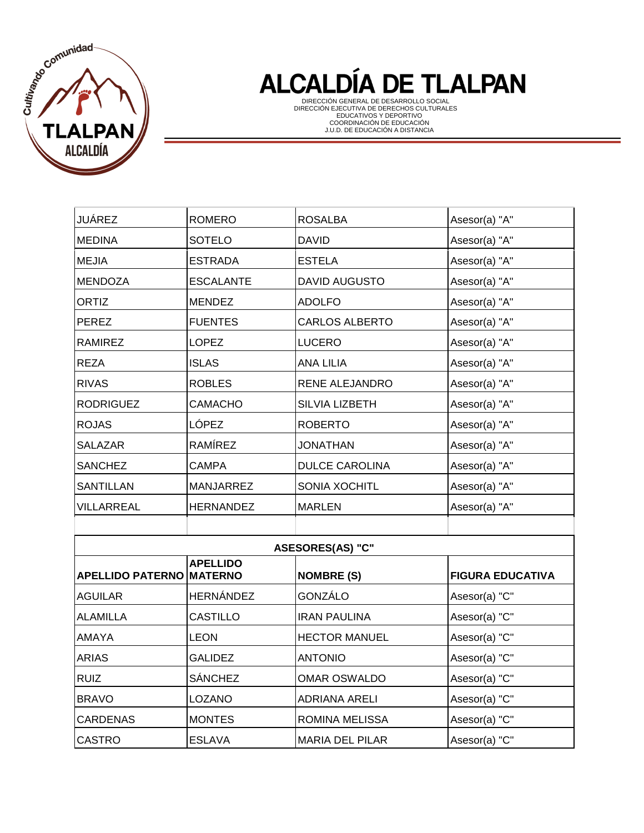

| JUÁREZ                          | <b>ROMERO</b>    | <b>ROSALBA</b>          | Asesor(a) "A"           |
|---------------------------------|------------------|-------------------------|-------------------------|
| <b>MEDINA</b>                   | <b>SOTELO</b>    | <b>DAVID</b>            | Asesor(a) "A"           |
| <b>MEJIA</b>                    | <b>ESTRADA</b>   | <b>ESTELA</b>           | Asesor(a) "A"           |
| <b>MENDOZA</b>                  | <b>ESCALANTE</b> | <b>DAVID AUGUSTO</b>    | Asesor(a) "A"           |
| ORTIZ                           | <b>MENDEZ</b>    | <b>ADOLFO</b>           | Asesor(a) "A"           |
| <b>PEREZ</b>                    | <b>FUENTES</b>   | <b>CARLOS ALBERTO</b>   | Asesor(a) "A"           |
| <b>RAMIREZ</b>                  | <b>LOPEZ</b>     | <b>LUCERO</b>           | Asesor(a) "A"           |
| <b>REZA</b>                     | <b>ISLAS</b>     | <b>ANA LILIA</b>        | Asesor(a) "A"           |
| <b>RIVAS</b>                    | <b>ROBLES</b>    | RENE ALEJANDRO          | Asesor(a) "A"           |
| <b>RODRIGUEZ</b>                | CAMACHO          | SILVIA LIZBETH          | Asesor(a) "A"           |
| <b>ROJAS</b>                    | LÓPEZ            | <b>ROBERTO</b>          | Asesor(a) "A"           |
| <b>SALAZAR</b>                  | RAMÍREZ          | <b>JONATHAN</b>         | Asesor(a) "A"           |
| <b>SANCHEZ</b>                  | <b>CAMPA</b>     | <b>DULCE CAROLINA</b>   | Asesor(a) "A"           |
| <b>SANTILLAN</b>                | <b>MANJARREZ</b> | SONIA XOCHITL           | Asesor(a) "A"           |
| VILLARREAL                      | <b>HERNANDEZ</b> | <b>MARLEN</b>           | Asesor(a) "A"           |
|                                 |                  |                         |                         |
|                                 |                  | <b>ASESORES(AS) "C"</b> |                         |
| <b>APELLIDO PATERNO MATERNO</b> | <b>APELLIDO</b>  | <b>NOMBRE (S)</b>       | <b>FIGURA EDUCATIVA</b> |
| <b>AGUILAR</b>                  | HERNÁNDEZ        | <b>GONZÁLO</b>          | Asesor(a) "C"           |
| <b>ALAMILLA</b>                 | <b>CASTILLO</b>  | <b>IRAN PAULINA</b>     | Asesor(a) "C"           |
| AMAYA                           | <b>LEON</b>      | <b>HECTOR MANUEL</b>    | Asesor(a) "C"           |
| <b>ARIAS</b>                    | <b>GALIDEZ</b>   | <b>ANTONIO</b>          | Asesor(a) "C"           |
| <b>RUIZ</b>                     | <b>SÁNCHEZ</b>   | <b>OMAR OSWALDO</b>     | Asesor(a) "C"           |
| <b>BRAVO</b>                    | <b>LOZANO</b>    | <b>ADRIANA ARELI</b>    | Asesor(a) "C"           |
| <b>CARDENAS</b>                 | <b>MONTES</b>    | <b>ROMINA MELISSA</b>   | Asesor(a) "C"           |
| <b>CASTRO</b>                   | <b>ESLAVA</b>    | <b>MARIA DEL PILAR</b>  | Asesor(a) "C"           |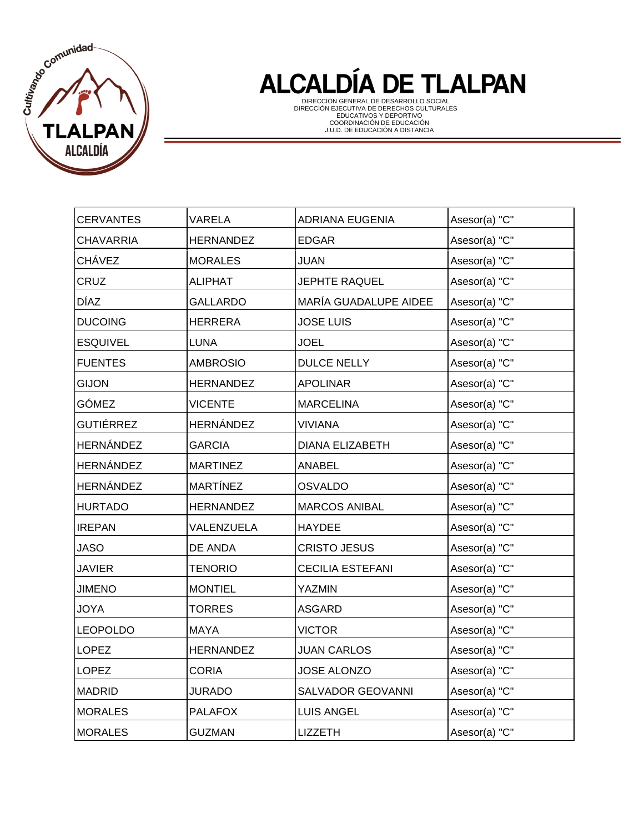

| <b>CERVANTES</b> | <b>VARELA</b>    | ADRIANA EUGENIA         | Asesor(a) "C" |
|------------------|------------------|-------------------------|---------------|
| <b>CHAVARRIA</b> | <b>HERNANDEZ</b> | <b>EDGAR</b>            | Asesor(a) "C" |
| <b>CHÁVEZ</b>    | <b>MORALES</b>   | JUAN                    | Asesor(a) "C" |
| CRUZ             | <b>ALIPHAT</b>   | <b>JEPHTE RAQUEL</b>    | Asesor(a) "C" |
| <b>DÍAZ</b>      | <b>GALLARDO</b>  | MARÍA GUADALUPE AIDEE   | Asesor(a) "C" |
| <b>DUCOING</b>   | <b>HERRERA</b>   | <b>JOSE LUIS</b>        | Asesor(a) "C" |
| <b>ESQUIVEL</b>  | <b>LUNA</b>      | <b>JOEL</b>             | Asesor(a) "C" |
| <b>FUENTES</b>   | <b>AMBROSIO</b>  | <b>DULCE NELLY</b>      | Asesor(a) "C" |
| <b>GIJON</b>     | <b>HERNANDEZ</b> | <b>APOLINAR</b>         | Asesor(a) "C" |
| GÓMEZ            | <b>VICENTE</b>   | <b>MARCELINA</b>        | Asesor(a) "C" |
| <b>GUTIÉRREZ</b> | <b>HERNÁNDEZ</b> | <b>VIVIANA</b>          | Asesor(a) "C" |
| <b>HERNÁNDEZ</b> | <b>GARCIA</b>    | <b>DIANA ELIZABETH</b>  | Asesor(a) "C" |
| HERNÁNDEZ        | <b>MARTINEZ</b>  | ANABEL                  | Asesor(a) "C" |
| HERNÁNDEZ        | <b>MARTÍNEZ</b>  | <b>OSVALDO</b>          | Asesor(a) "C" |
| <b>HURTADO</b>   | <b>HERNANDEZ</b> | <b>MARCOS ANIBAL</b>    | Asesor(a) "C" |
| <b>IREPAN</b>    | VALENZUELA       | <b>HAYDEE</b>           | Asesor(a) "C" |
| <b>JASO</b>      | DE ANDA          | <b>CRISTO JESUS</b>     | Asesor(a) "C" |
| <b>JAVIER</b>    | <b>TENORIO</b>   | <b>CECILIA ESTEFANI</b> | Asesor(a) "C" |
| <b>JIMENO</b>    | <b>MONTIEL</b>   | <b>YAZMIN</b>           | Asesor(a) "C" |
| <b>JOYA</b>      | <b>TORRES</b>    | <b>ASGARD</b>           | Asesor(a) "C" |
| <b>LEOPOLDO</b>  | <b>MAYA</b>      | <b>VICTOR</b>           | Asesor(a) "C" |
| <b>LOPEZ</b>     | <b>HERNANDEZ</b> | <b>JUAN CARLOS</b>      | Asesor(a) "C" |
| <b>LOPEZ</b>     | <b>CORIA</b>     | <b>JOSE ALONZO</b>      | Asesor(a) "C" |
| <b>MADRID</b>    | <b>JURADO</b>    | SALVADOR GEOVANNI       | Asesor(a) "C" |
| <b>MORALES</b>   | <b>PALAFOX</b>   | <b>LUIS ANGEL</b>       | Asesor(a) "C" |
| <b>MORALES</b>   | <b>GUZMAN</b>    | <b>LIZZETH</b>          | Asesor(a) "C" |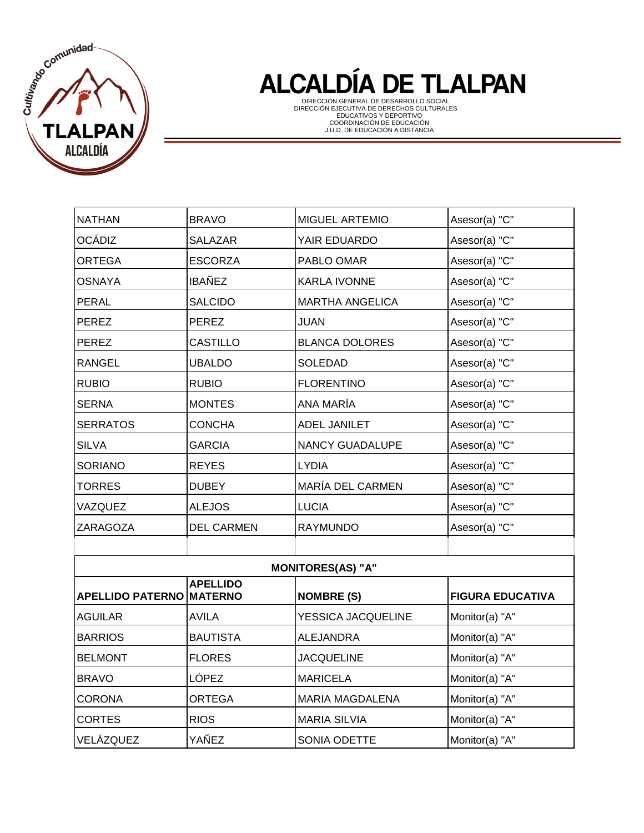

| <b>NATHAN</b>           | <b>BRAVO</b>                      | MIGUEL ARTEMIO           | Asesor(a) "C"           |
|-------------------------|-----------------------------------|--------------------------|-------------------------|
| <b>OCÁDIZ</b>           | <b>SALAZAR</b>                    | YAIR EDUARDO             | Asesor(a) "C"           |
| <b>ORTEGA</b>           | <b>ESCORZA</b>                    | PABLO OMAR               | Asesor(a) "C"           |
| <b>OSNAYA</b>           | <b>IBAÑEZ</b>                     | <b>KARLA IVONNE</b>      | Asesor(a) "C"           |
| <b>PERAL</b>            | <b>SALCIDO</b>                    | <b>MARTHA ANGELICA</b>   | Asesor(a) "C"           |
| <b>PEREZ</b>            | PEREZ                             | <b>JUAN</b>              | Asesor(a) "C"           |
| <b>PEREZ</b>            | <b>CASTILLO</b>                   | <b>BLANCA DOLORES</b>    | Asesor(a) "C"           |
| <b>RANGEL</b>           | <b>UBALDO</b>                     | SOLEDAD                  | Asesor(a) "C"           |
| <b>RUBIO</b>            | <b>RUBIO</b>                      | <b>FLORENTINO</b>        | Asesor(a) "C"           |
| <b>SERNA</b>            | <b>MONTES</b>                     | ANA MARÍA                | Asesor(a) "C"           |
| <b>SERRATOS</b>         | <b>CONCHA</b>                     | <b>ADEL JANILET</b>      | Asesor(a) "C"           |
| <b>SILVA</b>            | <b>GARCIA</b>                     | NANCY GUADALUPE          | Asesor(a) "C"           |
| <b>SORIANO</b>          | <b>REYES</b>                      | <b>LYDIA</b>             | Asesor(a) "C"           |
| <b>TORRES</b>           | <b>DUBEY</b>                      | MARÍA DEL CARMEN         | Asesor(a) "C"           |
| VAZQUEZ                 | <b>ALEJOS</b>                     | <b>LUCIA</b>             | Asesor(a) "C"           |
| <b>ZARAGOZA</b>         | <b>DEL CARMEN</b>                 | <b>RAYMUNDO</b>          | Asesor(a) "C"           |
|                         |                                   |                          |                         |
|                         |                                   | <b>MONITORES(AS) "A"</b> |                         |
| <b>APELLIDO PATERNO</b> | <b>APELLIDO</b><br><b>MATERNO</b> | <b>NOMBRE (S)</b>        | <b>FIGURA EDUCATIVA</b> |
| <b>AGUILAR</b>          | <b>AVILA</b>                      | YESSICA JACQUELINE       | Monitor(a) "A"          |
| <b>BARRIOS</b>          | <b>BAUTISTA</b>                   | <b>ALEJANDRA</b>         | Monitor(a) "A"          |
| <b>BELMONT</b>          | <b>FLORES</b>                     | <b>JACQUELINE</b>        | Monitor(a) "A"          |
| <b>BRAVO</b>            | LÓPEZ                             | <b>MARICELA</b>          | Monitor(a) "A"          |
| <b>CORONA</b>           | <b>ORTEGA</b>                     | <b>MARIA MAGDALENA</b>   | Monitor(a) "A"          |
| <b>CORTES</b>           | <b>RIOS</b>                       | <b>MARIA SILVIA</b>      | Monitor(a) "A"          |
| VELÁZQUEZ               | YAÑEZ                             | SONIA ODETTE             | Monitor(a) "A"          |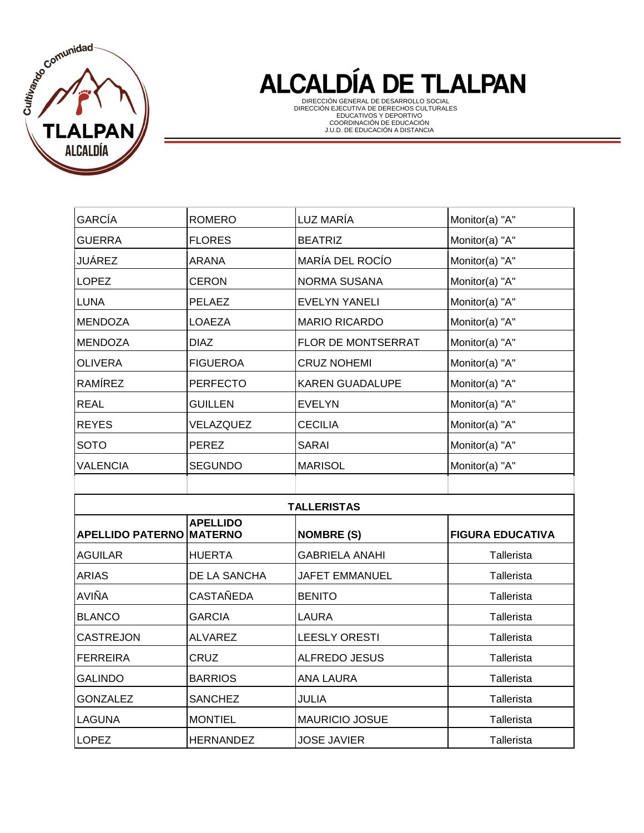

| <b>GARCÍA</b>    | <b>ROMERO</b>                                                                                                | LUZ MARÍA              | Monitor(a) "A" |  |  |
|------------------|--------------------------------------------------------------------------------------------------------------|------------------------|----------------|--|--|
| <b>GUERRA</b>    | <b>FLORES</b>                                                                                                | <b>BEATRIZ</b>         | Monitor(a) "A" |  |  |
| <b>JUÁREZ</b>    | <b>ARANA</b>                                                                                                 | MARÍA DEL ROCÍO        | Monitor(a) "A" |  |  |
| <b>LOPEZ</b>     | <b>CERON</b>                                                                                                 | <b>NORMA SUSANA</b>    | Monitor(a) "A" |  |  |
| <b>LUNA</b>      | PELAEZ                                                                                                       | <b>EVELYN YANELI</b>   | Monitor(a) "A" |  |  |
| <b>MENDOZA</b>   | <b>LOAEZA</b>                                                                                                | <b>MARIO RICARDO</b>   | Monitor(a) "A" |  |  |
| <b>MENDOZA</b>   | <b>DIAZ</b>                                                                                                  | FLOR DE MONTSERRAT     | Monitor(a) "A" |  |  |
| <b>OLIVERA</b>   | <b>FIGUEROA</b>                                                                                              | <b>CRUZ NOHEMI</b>     | Monitor(a) "A" |  |  |
| <b>RAMÍREZ</b>   | <b>PERFECTO</b>                                                                                              | <b>KAREN GUADALUPE</b> | Monitor(a) "A" |  |  |
| <b>REAL</b>      | <b>GUILLEN</b>                                                                                               | <b>EVELYN</b>          | Monitor(a) "A" |  |  |
| <b>REYES</b>     | VELAZQUEZ                                                                                                    | <b>CECILIA</b>         | Monitor(a) "A" |  |  |
| <b>SOTO</b>      | <b>PEREZ</b>                                                                                                 | <b>SARAI</b>           | Monitor(a) "A" |  |  |
| <b>VALENCIA</b>  | <b>SEGUNDO</b>                                                                                               | <b>MARISOL</b>         | Monitor(a) "A" |  |  |
|                  |                                                                                                              |                        |                |  |  |
|                  |                                                                                                              | <b>TALLERISTAS</b>     |                |  |  |
|                  | <b>APELLIDO</b><br><b>MATERNO</b><br><b>APELLIDO PATERNO</b><br><b>NOMBRE (S)</b><br><b>FIGURA EDUCATIVA</b> |                        |                |  |  |
| <b>AGUILAR</b>   |                                                                                                              |                        |                |  |  |
|                  | <b>HUERTA</b>                                                                                                | <b>GABRIELA ANAHI</b>  | Tallerista     |  |  |
| <b>ARIAS</b>     | DE LA SANCHA                                                                                                 | JAFET EMMANUEL         | Tallerista     |  |  |
| <b>AVIÑA</b>     | <b>CASTAÑEDA</b>                                                                                             | <b>BENITO</b>          | Tallerista     |  |  |
| <b>BLANCO</b>    | <b>GARCIA</b>                                                                                                | <b>LAURA</b>           | Tallerista     |  |  |
| <b>CASTREJON</b> | <b>ALVAREZ</b>                                                                                               | <b>LEESLY ORESTI</b>   | Tallerista     |  |  |
| <b>FERREIRA</b>  | <b>CRUZ</b>                                                                                                  | <b>ALFREDO JESUS</b>   | Tallerista     |  |  |
| <b>GALINDO</b>   | <b>BARRIOS</b>                                                                                               | <b>ANA LAURA</b>       | Tallerista     |  |  |
| <b>GONZALEZ</b>  | <b>SANCHEZ</b>                                                                                               | <b>JULIA</b>           | Tallerista     |  |  |
| <b>LAGUNA</b>    | <b>MONTIEL</b>                                                                                               | <b>MAURICIO JOSUE</b>  | Tallerista     |  |  |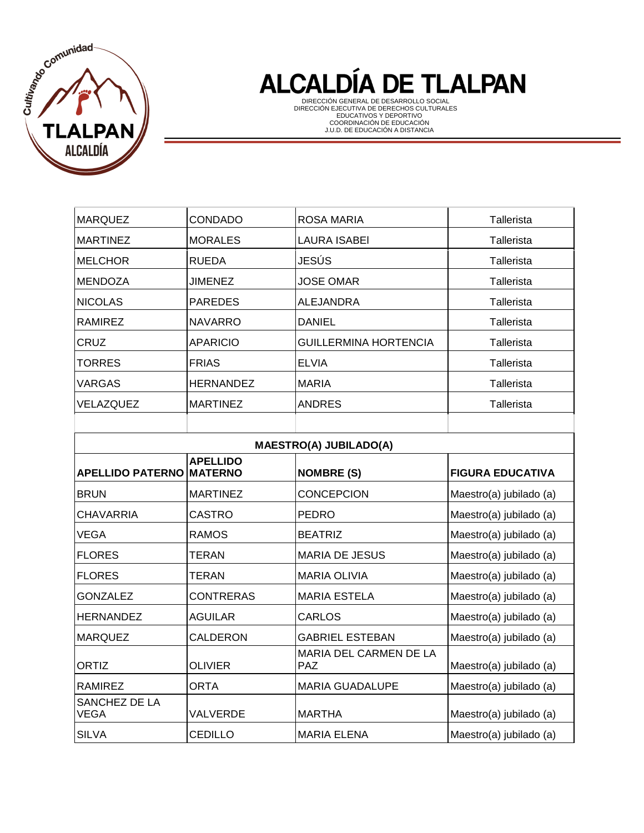

| <b>MARQUEZ</b>               | <b>CONDADO</b>                    | <b>ROSA MARIA</b>                    | Tallerista              |  |  |
|------------------------------|-----------------------------------|--------------------------------------|-------------------------|--|--|
| <b>MARTINEZ</b>              | <b>MORALES</b>                    | <b>LAURA ISABEI</b>                  | Tallerista              |  |  |
| <b>MELCHOR</b>               | <b>RUEDA</b>                      | <b>JESÚS</b>                         | Tallerista              |  |  |
| <b>MENDOZA</b>               | <b>JIMENEZ</b>                    | <b>JOSE OMAR</b>                     | Tallerista              |  |  |
| <b>NICOLAS</b>               | <b>PAREDES</b>                    | <b>ALEJANDRA</b>                     | Tallerista              |  |  |
| <b>RAMIREZ</b>               | <b>NAVARRO</b>                    | <b>DANIEL</b>                        | Tallerista              |  |  |
| CRUZ                         | <b>APARICIO</b>                   | <b>GUILLERMINA HORTENCIA</b>         | Tallerista              |  |  |
| <b>TORRES</b>                | <b>FRIAS</b>                      | <b>ELVIA</b>                         | Tallerista              |  |  |
| <b>VARGAS</b>                | <b>HERNANDEZ</b>                  | <b>MARIA</b>                         | Tallerista              |  |  |
| VELAZQUEZ                    | <b>MARTINEZ</b>                   | <b>ANDRES</b>                        | Tallerista              |  |  |
|                              |                                   |                                      |                         |  |  |
|                              | <b>MAESTRO(A) JUBILADO(A)</b>     |                                      |                         |  |  |
| <b>APELLIDO PATERNO</b>      | <b>APELLIDO</b><br><b>MATERNO</b> | <b>NOMBRE (S)</b>                    | <b>FIGURA EDUCATIVA</b> |  |  |
| <b>BRUN</b>                  | <b>MARTINEZ</b>                   | <b>CONCEPCION</b>                    | Maestro(a) jubilado (a) |  |  |
| <b>CHAVARRIA</b>             | <b>CASTRO</b>                     | <b>PEDRO</b>                         | Maestro(a) jubilado (a) |  |  |
| <b>VEGA</b>                  | <b>RAMOS</b>                      | <b>BEATRIZ</b>                       | Maestro(a) jubilado (a) |  |  |
| <b>FLORES</b>                | <b>TERAN</b>                      | <b>MARIA DE JESUS</b>                | Maestro(a) jubilado (a) |  |  |
| <b>FLORES</b>                | <b>TERAN</b>                      | <b>MARIA OLIVIA</b>                  | Maestro(a) jubilado (a) |  |  |
| <b>GONZALEZ</b>              | <b>CONTRERAS</b>                  | <b>MARIA ESTELA</b>                  | Maestro(a) jubilado (a) |  |  |
| <b>HERNANDEZ</b>             | <b>AGUILAR</b>                    | <b>CARLOS</b>                        | Maestro(a) jubilado (a) |  |  |
| <b>MARQUEZ</b>               | CALDERON                          | <b>GABRIEL ESTEBAN</b>               | Maestro(a) jubilado (a) |  |  |
| <b>ORTIZ</b>                 | <b>OLIVIER</b>                    | MARIA DEL CARMEN DE LA<br><b>PAZ</b> | Maestro(a) jubilado (a) |  |  |
| <b>RAMIREZ</b>               | <b>ORTA</b>                       | <b>MARIA GUADALUPE</b>               | Maestro(a) jubilado (a) |  |  |
| SANCHEZ DE LA<br><b>VEGA</b> | VALVERDE                          | <b>MARTHA</b>                        | Maestro(a) jubilado (a) |  |  |
| <b>SILVA</b>                 | <b>CEDILLO</b>                    | <b>MARIA ELENA</b>                   | Maestro(a) jubilado (a) |  |  |